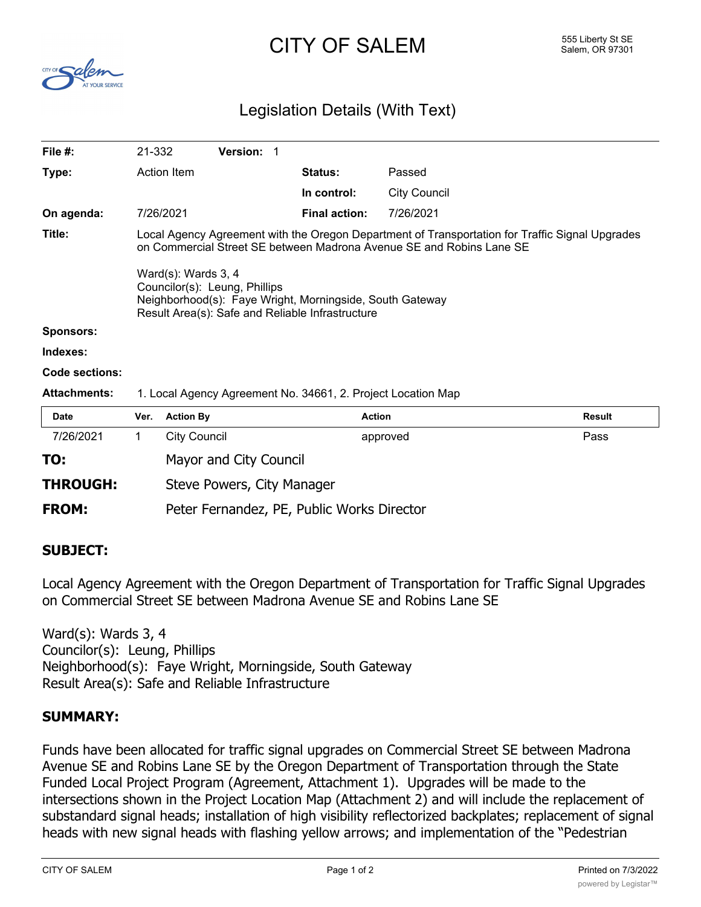# $CITY$   $OF$   $SALEM$   $SALEM$   $SALEM$   $SALEM$   $SALEM$   $SALEM$   $SALEM$   $SALEM$   $SALEM$



# Legislation Details (With Text)

| File $#$ :            | 21-332                                                                                                                                                                  |                                                                                                                                                                      | Version: 1             |  |                      |                     |               |  |
|-----------------------|-------------------------------------------------------------------------------------------------------------------------------------------------------------------------|----------------------------------------------------------------------------------------------------------------------------------------------------------------------|------------------------|--|----------------------|---------------------|---------------|--|
| Type:                 |                                                                                                                                                                         | Action Item                                                                                                                                                          |                        |  | <b>Status:</b>       | Passed              |               |  |
|                       |                                                                                                                                                                         |                                                                                                                                                                      |                        |  | In control:          | <b>City Council</b> |               |  |
| On agenda:            |                                                                                                                                                                         | 7/26/2021                                                                                                                                                            |                        |  | <b>Final action:</b> | 7/26/2021           |               |  |
| Title:                | Local Agency Agreement with the Oregon Department of Transportation for Traffic Signal Upgrades<br>on Commercial Street SE between Madrona Avenue SE and Robins Lane SE |                                                                                                                                                                      |                        |  |                      |                     |               |  |
|                       |                                                                                                                                                                         | Ward(s): Wards 3, 4<br>Councilor(s): Leung, Phillips<br>Neighborhood(s): Faye Wright, Morningside, South Gateway<br>Result Area(s): Safe and Reliable Infrastructure |                        |  |                      |                     |               |  |
| <b>Sponsors:</b>      |                                                                                                                                                                         |                                                                                                                                                                      |                        |  |                      |                     |               |  |
| Indexes:              |                                                                                                                                                                         |                                                                                                                                                                      |                        |  |                      |                     |               |  |
| <b>Code sections:</b> |                                                                                                                                                                         |                                                                                                                                                                      |                        |  |                      |                     |               |  |
| <b>Attachments:</b>   | 1. Local Agency Agreement No. 34661, 2. Project Location Map                                                                                                            |                                                                                                                                                                      |                        |  |                      |                     |               |  |
| Date                  | Ver.                                                                                                                                                                    | <b>Action By</b>                                                                                                                                                     |                        |  | <b>Action</b>        |                     | <b>Result</b> |  |
| 7/26/2021             | 1.                                                                                                                                                                      | <b>City Council</b>                                                                                                                                                  |                        |  |                      | approved            | Pass          |  |
| TO:                   |                                                                                                                                                                         |                                                                                                                                                                      | Mayor and City Council |  |                      |                     |               |  |

**THROUGH:** Steve Powers, City Manager

**FROM:** Peter Fernandez, PE, Public Works Director

# **SUBJECT:**

Local Agency Agreement with the Oregon Department of Transportation for Traffic Signal Upgrades on Commercial Street SE between Madrona Avenue SE and Robins Lane SE

Ward(s): Wards 3, 4 Councilor(s): Leung, Phillips Neighborhood(s): Faye Wright, Morningside, South Gateway Result Area(s): Safe and Reliable Infrastructure

#### **SUMMARY:**

Funds have been allocated for traffic signal upgrades on Commercial Street SE between Madrona Avenue SE and Robins Lane SE by the Oregon Department of Transportation through the State Funded Local Project Program (Agreement, Attachment 1). Upgrades will be made to the intersections shown in the Project Location Map (Attachment 2) and will include the replacement of substandard signal heads; installation of high visibility reflectorized backplates; replacement of signal heads with new signal heads with flashing yellow arrows; and implementation of the "Pedestrian